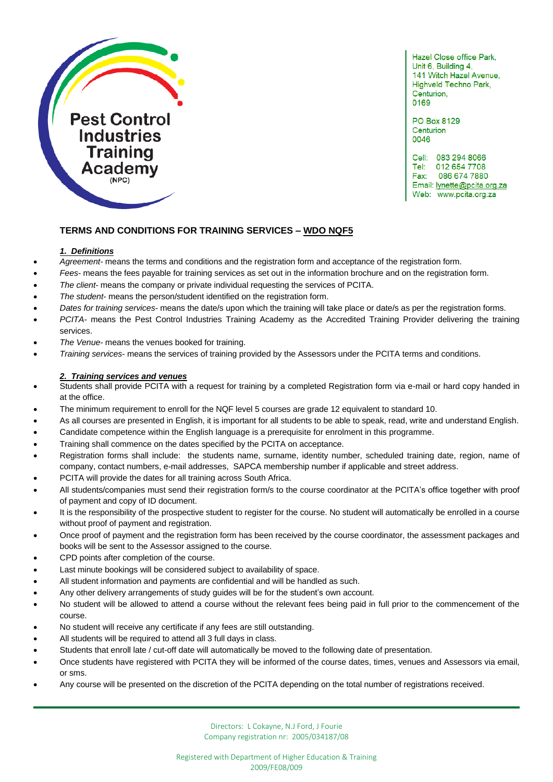

Hazel Close office Park, Unit 6, Building 4, 141 Witch Hazel Avenue, Highveld Techno Park, Centurion, 0169

**PO Box 8129** Centurion 0046

Cell: 083 294 8066 Tel: 012 654 7708 086 674 7880 Fax: Email: lynette@pcita.org.za Web: www.pcita.org.za

ľ

# **TERMS AND CONDITIONS FOR TRAINING SERVICES – WDO NQF5**

## *1. Definitions*

- *Agreement* means the terms and conditions and the registration form and acceptance of the registration form.
- *Fees* means the fees payable for training services as set out in the information brochure and on the registration form.
- *The client* means the company or private individual requesting the services of PCITA.
- *The student* means the person/student identified on the registration form.
- *Dates for training services* means the date/s upon which the training will take place or date/s as per the registration forms.
- *PCITA* means the Pest Control Industries Training Academy as the Accredited Training Provider delivering the training services.
- *The Venue* means the venues booked for training.
- *Training services* means the services of training provided by the Assessors under the PCITA terms and conditions.

## *2. Training services and venues*

- Students shall provide PCITA with a request for training by a completed Registration form via e-mail or hard copy handed in at the office.
- The minimum requirement to enroll for the NQF level 5 courses are grade 12 equivalent to standard 10.
- As all courses are presented in English, it is important for all students to be able to speak, read, write and understand English.
- Candidate competence within the English language is a prerequisite for enrolment in this programme.
- Training shall commence on the dates specified by the PCITA on acceptance.
- Registration forms shall include: the students name, surname, identity number, scheduled training date, region, name of company, contact numbers, e-mail addresses, SAPCA membership number if applicable and street address.
- PCITA will provide the dates for all training across South Africa.
- All students/companies must send their registration form/s to the course coordinator at the PCITA's office together with proof of payment and copy of ID document.
- It is the responsibility of the prospective student to register for the course. No student will automatically be enrolled in a course without proof of payment and registration.
- Once proof of payment and the registration form has been received by the course coordinator, the assessment packages and books will be sent to the Assessor assigned to the course.
- CPD points after completion of the course.
- Last minute bookings will be considered subject to availability of space.
- All student information and payments are confidential and will be handled as such.
- Any other delivery arrangements of study guides will be for the student's own account.
- No student will be allowed to attend a course without the relevant fees being paid in full prior to the commencement of the course.
- No student will receive any certificate if any fees are still outstanding.
- All students will be required to attend all 3 full days in class.
- Students that enroll late / cut-off date will automatically be moved to the following date of presentation.
- Once students have registered with PCITA they will be informed of the course dates, times, venues and Assessors via email, or sms.
- Any course will be presented on the discretion of the PCITA depending on the total number of registrations received.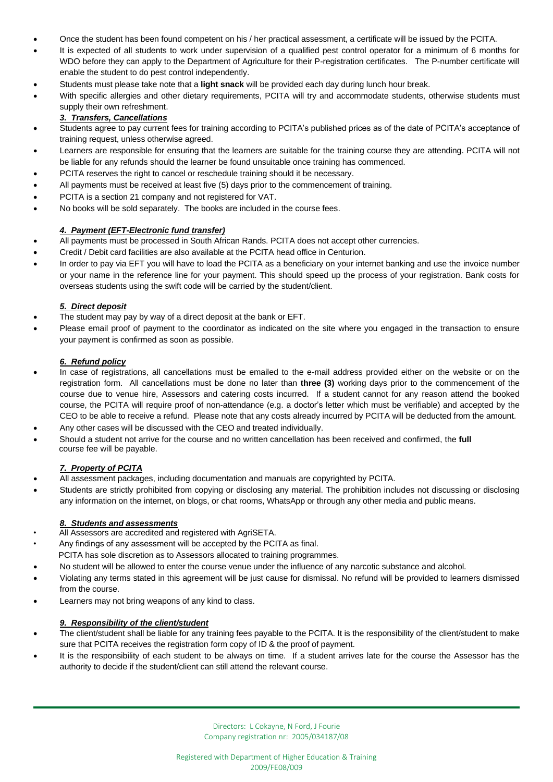- Once the student has been found competent on his / her practical assessment, a certificate will be issued by the PCITA.
- It is expected of all students to work under supervision of a qualified pest control operator for a minimum of 6 months for WDO before they can apply to the Department of Agriculture for their P-registration certificates. The P-number certificate will enable the student to do pest control independently.
- Students must please take note that a **light snack** will be provided each day during lunch hour break.
- With specific allergies and other dietary requirements, PCITA will try and accommodate students, otherwise students must supply their own refreshment.

# *3. Transfers, Cancellations*

- Students agree to pay current fees for training according to PCITA's published prices as of the date of PCITA's acceptance of training request, unless otherwise agreed.
- Learners are responsible for ensuring that the learners are suitable for the training course they are attending. PCITA will not be liable for any refunds should the learner be found unsuitable once training has commenced.
- PCITA reserves the right to cancel or reschedule training should it be necessary.
- All payments must be received at least five (5) days prior to the commencement of training.
- PCITA is a section 21 company and not registered for VAT.
- No books will be sold separately. The books are included in the course fees.

# *4. Payment (EFT-Electronic fund transfer)*

- All payments must be processed in South African Rands. PCITA does not accept other currencies.
- Credit / Debit card facilities are also available at the PCITA head office in Centurion.
- In order to pay via EFT you will have to load the PCITA as a beneficiary on your internet banking and use the invoice number or your name in the reference line for your payment. This should speed up the process of your registration. Bank costs for overseas students using the swift code will be carried by the student/client.

# *5. Direct deposit*

- The student may pay by way of a direct deposit at the bank or EFT.
- Please email proof of payment to the coordinator as indicated on the site where you engaged in the transaction to ensure your payment is confirmed as soon as possible.

#### *6. Refund policy*

- In case of registrations, all cancellations must be emailed to the e-mail address provided either on the website or on the registration form. All cancellations must be done no later than **three (3)** working days prior to the commencement of the course due to venue hire, Assessors and catering costs incurred. If a student cannot for any reason attend the booked course, the PCITA will require proof of non-attendance (e.g. a doctor's letter which must be verifiable) and accepted by the CEO to be able to receive a refund. Please note that any costs already incurred by PCITA will be deducted from the amount.
- Any other cases will be discussed with the CEO and treated individually.
- Should a student not arrive for the course and no written cancellation has been received and confirmed, the **full** course fee will be payable.

# *7. Property of PCITA*

- All assessment packages, including documentation and manuals are copyrighted by PCITA.
- Students are strictly prohibited from copying or disclosing any material. The prohibition includes not discussing or disclosing any information on the internet, on blogs, or chat rooms, WhatsApp or through any other media and public means.

#### *8. Students and assessments*

- All Assessors are accredited and registered with AgriSETA.
- Any findings of any assessment will be accepted by the PCITA as final.
- PCITA has sole discretion as to Assessors allocated to training programmes.
- No student will be allowed to enter the course venue under the influence of any narcotic substance and alcohol.
- Violating any terms stated in this agreement will be just cause for dismissal. No refund will be provided to learners dismissed from the course.
- Learners may not bring weapons of any kind to class.

#### *9. Responsibility of the client/student*

- The client/student shall be liable for any training fees payable to the PCITA. It is the responsibility of the client/student to make sure that PCITA receives the registration form copy of ID & the proof of payment.
- It is the responsibility of each student to be always on time. If a student arrives late for the course the Assessor has the authority to decide if the student/client can still attend the relevant course.

Directors: L Cokayne, N Ford, J Fourie Company registration nr: 2005/034187/08 ľ